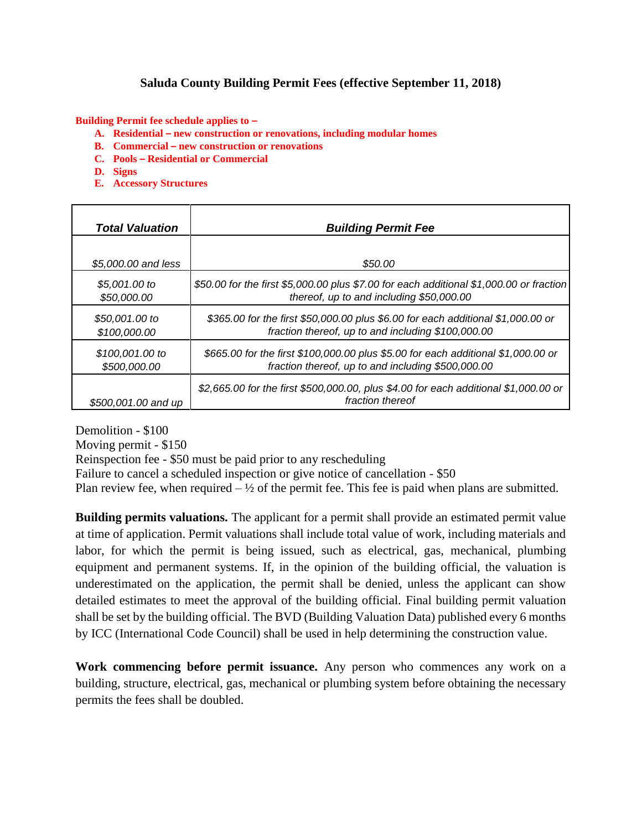## **Saluda County Building Permit Fees (effective September 11, 2018)**

**Building Permit fee schedule applies to –**

- **A. Residential – new construction or renovations, including modular homes**
- **B. Commercial – new construction or renovations**
- **C. Pools – Residential or Commercial**
- **D. Signs**
- **E. Accessory Structures**

| <b>Total Valuation</b> | <b>Building Permit Fee</b>                                                                               |
|------------------------|----------------------------------------------------------------------------------------------------------|
| \$5,000.00 and less    | \$50.00                                                                                                  |
| \$5,001.00 to          | \$50.00 for the first \$5,000.00 plus \$7.00 for each additional \$1,000.00 or fraction                  |
| \$50,000.00            | thereof, up to and including \$50,000.00                                                                 |
| \$50,001.00 to         | \$365.00 for the first \$50,000.00 plus \$6.00 for each additional \$1,000.00 or                         |
| \$100,000.00           | fraction thereof, up to and including \$100,000.00                                                       |
| \$100,001.00 to        | \$665.00 for the first \$100,000.00 plus \$5.00 for each additional \$1,000.00 or                        |
| \$500,000.00           | fraction thereof, up to and including \$500,000.00                                                       |
| \$500,001.00 and up    | \$2,665.00 for the first \$500,000.00, plus \$4.00 for each additional \$1,000.00 or<br>fraction thereof |

Demolition - \$100 Moving permit - \$150 Reinspection fee - \$50 must be paid prior to any rescheduling Failure to cancel a scheduled inspection or give notice of cancellation - \$50 Plan review fee, when required  $-\frac{1}{2}$  of the permit fee. This fee is paid when plans are submitted.

**Building permits valuations.** The applicant for a permit shall provide an estimated permit value at time of application. Permit valuations shall include total value of work, including materials and labor, for which the permit is being issued, such as electrical, gas, mechanical, plumbing equipment and permanent systems. If, in the opinion of the building official, the valuation is underestimated on the application, the permit shall be denied, unless the applicant can show detailed estimates to meet the approval of the building official. Final building permit valuation shall be set by the building official. The BVD (Building Valuation Data) published every 6 months by ICC (International Code Council) shall be used in help determining the construction value.

**Work commencing before permit issuance.** Any person who commences any work on a building, structure, electrical, gas, mechanical or plumbing system before obtaining the necessary permits the fees shall be doubled.